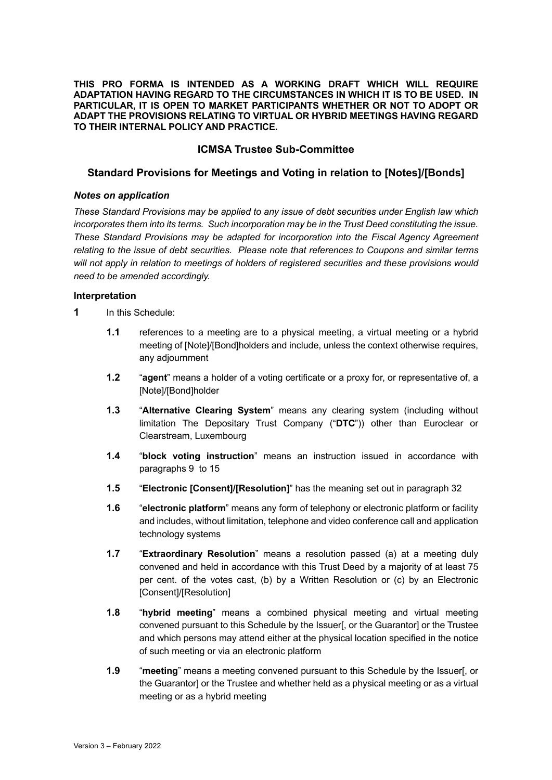**THIS PRO FORMA IS INTENDED AS A WORKING DRAFT WHICH WILL REQUIRE ADAPTATION HAVING REGARD TO THE CIRCUMSTANCES IN WHICH IT IS TO BE USED. IN PARTICULAR, IT IS OPEN TO MARKET PARTICIPANTS WHETHER OR NOT TO ADOPT OR ADAPT THE PROVISIONS RELATING TO VIRTUAL OR HYBRID MEETINGS HAVING REGARD TO THEIR INTERNAL POLICY AND PRACTICE.** 

## **ICMSA Trustee Sub-Committee**

### **Standard Provisions for Meetings and Voting in relation to [Notes]/[Bonds]**

#### *Notes on application*

*These Standard Provisions may be applied to any issue of debt securities under English law which incorporates them into its terms. Such incorporation may be in the Trust Deed constituting the issue. These Standard Provisions may be adapted for incorporation into the Fiscal Agency Agreement relating to the issue of debt securities. Please note that references to Coupons and similar terms will not apply in relation to meetings of holders of registered securities and these provisions would need to be amended accordingly.*

#### **Interpretation**

**1** In this Schedule:

- **1.1** references to a meeting are to a physical meeting, a virtual meeting or a hybrid meeting of [Note]/[Bond]holders and include, unless the context otherwise requires, any adjournment
- **1.2** "**agent**" means a holder of a voting certificate or a proxy for, or representative of, a [Note]/[Bond]holder
- **1.3** "**Alternative Clearing System**" means any clearing system (including without limitation The Depositary Trust Company ("**DTC**")) other than Euroclear or Clearstream, Luxembourg
- **1.4** "**block voting instruction**" means an instruction issued in accordance with paragraphs 9 to 15
- **1.5** "**Electronic [Consent]/[Resolution]**" has the meaning set out in paragraph 32
- **1.6** "**electronic platform**" means any form of telephony or electronic platform or facility and includes, without limitation, telephone and video conference call and application technology systems
- **1.7** "**Extraordinary Resolution**" means a resolution passed (a) at a meeting duly convened and held in accordance with this Trust Deed by a majority of at least 75 per cent. of the votes cast, (b) by a Written Resolution or (c) by an Electronic [Consent]/[Resolution]
- **1.8** "**hybrid meeting**" means a combined physical meeting and virtual meeting convened pursuant to this Schedule by the Issuer[, or the Guarantor] or the Trustee and which persons may attend either at the physical location specified in the notice of such meeting or via an electronic platform
- **1.9** "**meeting**" means a meeting convened pursuant to this Schedule by the Issuer[, or the Guarantor] or the Trustee and whether held as a physical meeting or as a virtual meeting or as a hybrid meeting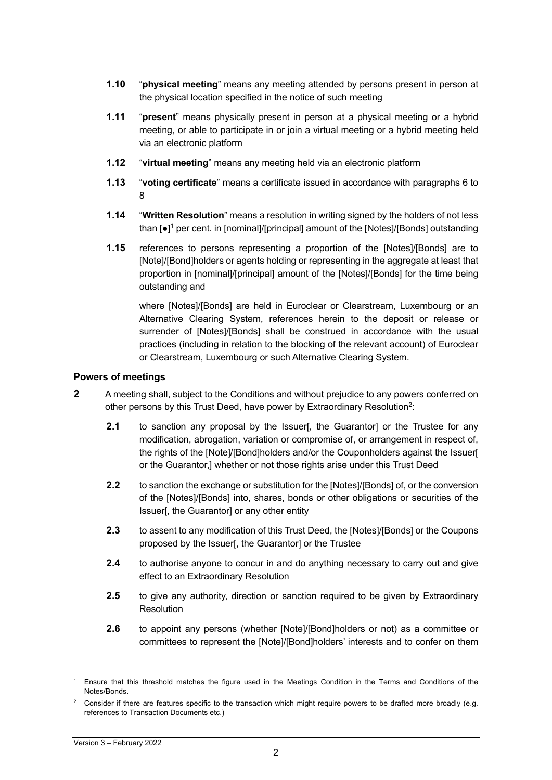- **1.10** "**physical meeting**" means any meeting attended by persons present in person at the physical location specified in the notice of such meeting
- **1.11** "**present**" means physically present in person at a physical meeting or a hybrid meeting, or able to participate in or join a virtual meeting or a hybrid meeting held via an electronic platform
- **1.12** "**virtual meeting**" means any meeting held via an electronic platform
- **1.13** "**voting certificate**" means a certificate issued in accordance with paragraphs 6 to 8
- **1.14** "**Written Resolution**" means a resolution in writing signed by the holders of not less than [●]<sup>1</sup> per cent. in [nominal]/[principal] amount of the [Notes]/[Bonds] outstanding
- **1.15** references to persons representing a proportion of the [Notes]/[Bonds] are to [Note]/[Bond]holders or agents holding or representing in the aggregate at least that proportion in [nominal]/[principal] amount of the [Notes]/[Bonds] for the time being outstanding and

where [Notes]/[Bonds] are held in Euroclear or Clearstream, Luxembourg or an Alternative Clearing System, references herein to the deposit or release or surrender of [Notes]/[Bonds] shall be construed in accordance with the usual practices (including in relation to the blocking of the relevant account) of Euroclear or Clearstream, Luxembourg or such Alternative Clearing System.

## **Powers of meetings**

- **2** A meeting shall, subject to the Conditions and without prejudice to any powers conferred on other persons by this Trust Deed, have power by Extraordinary Resolution<sup>2</sup>:
	- **2.1** to sanction any proposal by the Issuer[, the Guarantor] or the Trustee for any modification, abrogation, variation or compromise of, or arrangement in respect of, the rights of the [Note]/[Bond]holders and/or the Couponholders against the Issuer[ or the Guarantor,] whether or not those rights arise under this Trust Deed
	- **2.2** to sanction the exchange or substitution for the [Notes]/[Bonds] of, or the conversion of the [Notes]/[Bonds] into, shares, bonds or other obligations or securities of the Issuer[, the Guarantor] or any other entity
	- **2.3** to assent to any modification of this Trust Deed, the [Notes]/[Bonds] or the Coupons proposed by the Issuer[, the Guarantor] or the Trustee
	- **2.4** to authorise anyone to concur in and do anything necessary to carry out and give effect to an Extraordinary Resolution
	- **2.5** to give any authority, direction or sanction required to be given by Extraordinary Resolution
	- **2.6** to appoint any persons (whether [Note]/[Bond]holders or not) as a committee or committees to represent the [Note]/[Bond]holders' interests and to confer on them

<sup>1</sup> Ensure that this threshold matches the figure used in the Meetings Condition in the Terms and Conditions of the Notes/Bonds.

<sup>2</sup> Consider if there are features specific to the transaction which might require powers to be drafted more broadly (e.g. references to Transaction Documents etc.)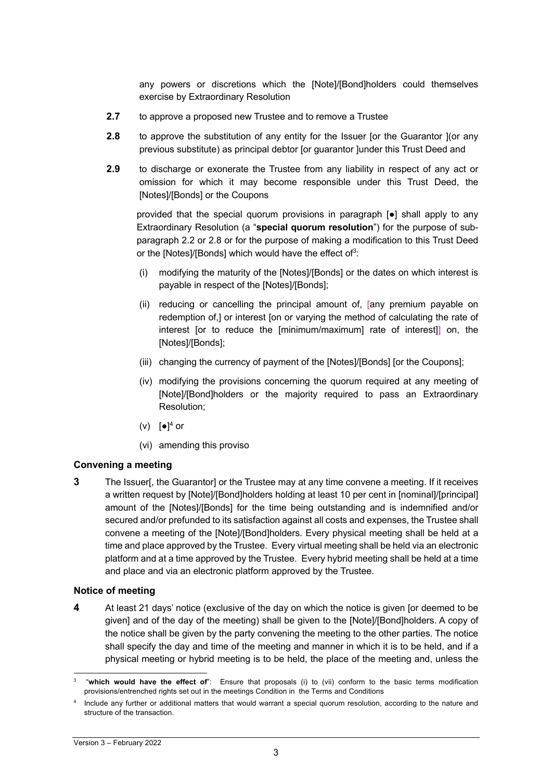any powers or discretions which the [Note]/[Bond]holders could themselves exercise by Extraordinary Resolution

- **2.7** to approve a proposed new Trustee and to remove a Trustee
- **2.8** to approve the substitution of any entity for the Issuer [or the Guarantor ](or any previous substitute) as principal debtor [or guarantor ]under this Trust Deed and
- **2.9** to discharge or exonerate the Trustee from any liability in respect of any act or omission for which it may become responsible under this Trust Deed, the [Notes]/[Bonds] or the Coupons

provided that the special quorum provisions in paragraph [●] shall apply to any Extraordinary Resolution (a "**special quorum resolution**") for the purpose of subparagraph 2.2 or 2.8 or for the purpose of making a modification to this Trust Deed or the [Notes]/[Bonds] which would have the effect of $3$ :

- (i) modifying the maturity of the [Notes]/[Bonds] or the dates on which interest is payable in respect of the [Notes]/[Bonds];
- (ii) reducing or cancelling the principal amount of, [any premium payable on redemption of,] or interest [on or varying the method of calculating the rate of interest [or to reduce the [minimum/maximum] rate of interest]] on, the [Notes]/[Bonds];
- (iii) changing the currency of payment of the [Notes]/[Bonds] [or the Coupons];
- (iv) modifying the provisions concerning the quorum required at any meeting of [Note]/[Bond]holders or the majority required to pass an Extraordinary Resolution;
- (v)  $[e]^4$  or
- (vi) amending this proviso

## **Convening a meeting**

**3** The Issuer[, the Guarantor] or the Trustee may at any time convene a meeting. If it receives a written request by [Note]/[Bond]holders holding at least 10 per cent in [nominal]/[principal] amount of the [Notes]/[Bonds] for the time being outstanding and is indemnified and/or secured and/or prefunded to its satisfaction against all costs and expenses, the Trustee shall convene a meeting of the [Note]/[Bond]holders. Every physical meeting shall be held at a time and place approved by the Trustee. Every virtual meeting shall be held via an electronic platform and at a time approved by the Trustee. Every hybrid meeting shall be held at a time and place and via an electronic platform approved by the Trustee.

#### **Notice of meeting**

**4** At least 21 days' notice (exclusive of the day on which the notice is given [or deemed to be given] and of the day of the meeting) shall be given to the [Note]/[Bond]holders. A copy of the notice shall be given by the party convening the meeting to the other parties. The notice shall specify the day and time of the meeting and manner in which it is to be held, and if a physical meeting or hybrid meeting is to be held, the place of the meeting and, unless the

<sup>3</sup> "**which would have the effect of**": Ensure that proposals (i) to (vii) conform to the basic terms modification provisions/entrenched rights set out in the meetings Condition in the Terms and Conditions

<sup>4</sup> Include any further or additional matters that would warrant a special quorum resolution, according to the nature and structure of the transaction.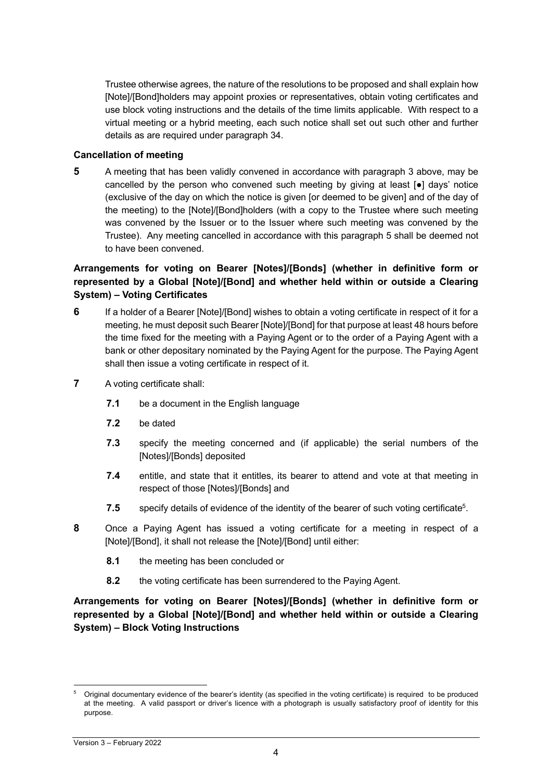Trustee otherwise agrees, the nature of the resolutions to be proposed and shall explain how [Note]/[Bond]holders may appoint proxies or representatives, obtain voting certificates and use block voting instructions and the details of the time limits applicable. With respect to a virtual meeting or a hybrid meeting, each such notice shall set out such other and further details as are required under paragraph 34.

### **Cancellation of meeting**

**5** A meeting that has been validly convened in accordance with paragraph 3 above, may be cancelled by the person who convened such meeting by giving at least [●] days' notice (exclusive of the day on which the notice is given [or deemed to be given] and of the day of the meeting) to the [Note]/[Bond]holders (with a copy to the Trustee where such meeting was convened by the Issuer or to the Issuer where such meeting was convened by the Trustee). Any meeting cancelled in accordance with this paragraph 5 shall be deemed not to have been convened.

# **Arrangements for voting on Bearer [Notes]/[Bonds] (whether in definitive form or represented by a Global [Note]/[Bond] and whether held within or outside a Clearing System) – Voting Certificates**

- **6** If a holder of a Bearer [Note]/[Bond] wishes to obtain a voting certificate in respect of it for a meeting, he must deposit such Bearer [Note]/[Bond] for that purpose at least 48 hours before the time fixed for the meeting with a Paying Agent or to the order of a Paying Agent with a bank or other depositary nominated by the Paying Agent for the purpose. The Paying Agent shall then issue a voting certificate in respect of it.
- **7** A voting certificate shall:
	- **7.1** be a document in the English language
	- **7.2** be dated
	- **7.3** specify the meeting concerned and (if applicable) the serial numbers of the [Notes]/[Bonds] deposited
	- **7.4** entitle, and state that it entitles, its bearer to attend and vote at that meeting in respect of those [Notes]/[Bonds] and
	- **7.5** specify details of evidence of the identity of the bearer of such voting certificate<sup>5</sup>.
- **8** Once a Paying Agent has issued a voting certificate for a meeting in respect of a [Note]/[Bond], it shall not release the [Note]/[Bond] until either:
	- **8.1** the meeting has been concluded or
	- **8.2** the voting certificate has been surrendered to the Paying Agent.

**Arrangements for voting on Bearer [Notes]/[Bonds] (whether in definitive form or represented by a Global [Note]/[Bond] and whether held within or outside a Clearing System) – Block Voting Instructions**

<sup>5</sup> Original documentary evidence of the bearer's identity (as specified in the voting certificate) is required to be produced at the meeting. A valid passport or driver's licence with a photograph is usually satisfactory proof of identity for this purpose.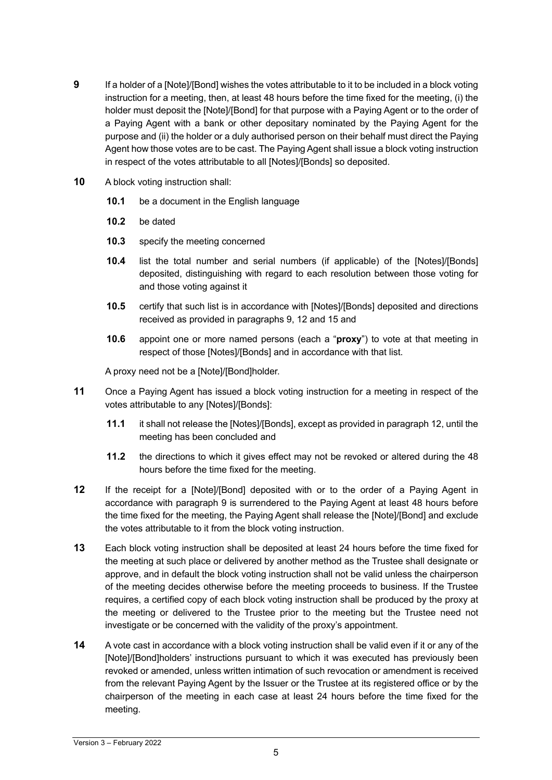- **9** If a holder of a [Note]/[Bond] wishes the votes attributable to it to be included in a block voting instruction for a meeting, then, at least 48 hours before the time fixed for the meeting, (i) the holder must deposit the [Note]/[Bond] for that purpose with a Paying Agent or to the order of a Paying Agent with a bank or other depositary nominated by the Paying Agent for the purpose and (ii) the holder or a duly authorised person on their behalf must direct the Paying Agent how those votes are to be cast. The Paying Agent shall issue a block voting instruction in respect of the votes attributable to all [Notes]/[Bonds] so deposited.
- **10** A block voting instruction shall:
	- **10.1** be a document in the English language
	- **10.2** be dated
	- **10.3** specify the meeting concerned
	- **10.4** list the total number and serial numbers (if applicable) of the [Notes]/[Bonds] deposited, distinguishing with regard to each resolution between those voting for and those voting against it
	- **10.5** certify that such list is in accordance with [Notes]/[Bonds] deposited and directions received as provided in paragraphs 9, 12 and 15 and
	- **10.6** appoint one or more named persons (each a "**proxy**") to vote at that meeting in respect of those [Notes]/[Bonds] and in accordance with that list.

A proxy need not be a [Note]/[Bond]holder.

- **11** Once a Paying Agent has issued a block voting instruction for a meeting in respect of the votes attributable to any [Notes]/[Bonds]:
	- **11.1** it shall not release the [Notes]/[Bonds], except as provided in paragraph 12, until the meeting has been concluded and
	- **11.2** the directions to which it gives effect may not be revoked or altered during the 48 hours before the time fixed for the meeting.
- **12** If the receipt for a [Note]/[Bond] deposited with or to the order of a Paying Agent in accordance with paragraph 9 is surrendered to the Paying Agent at least 48 hours before the time fixed for the meeting, the Paying Agent shall release the [Note]/[Bond] and exclude the votes attributable to it from the block voting instruction.
- **13** Each block voting instruction shall be deposited at least 24 hours before the time fixed for the meeting at such place or delivered by another method as the Trustee shall designate or approve, and in default the block voting instruction shall not be valid unless the chairperson of the meeting decides otherwise before the meeting proceeds to business. If the Trustee requires, a certified copy of each block voting instruction shall be produced by the proxy at the meeting or delivered to the Trustee prior to the meeting but the Trustee need not investigate or be concerned with the validity of the proxy's appointment.
- **14** A vote cast in accordance with a block voting instruction shall be valid even if it or any of the [Note]/[Bond]holders' instructions pursuant to which it was executed has previously been revoked or amended, unless written intimation of such revocation or amendment is received from the relevant Paying Agent by the Issuer or the Trustee at its registered office or by the chairperson of the meeting in each case at least 24 hours before the time fixed for the meeting.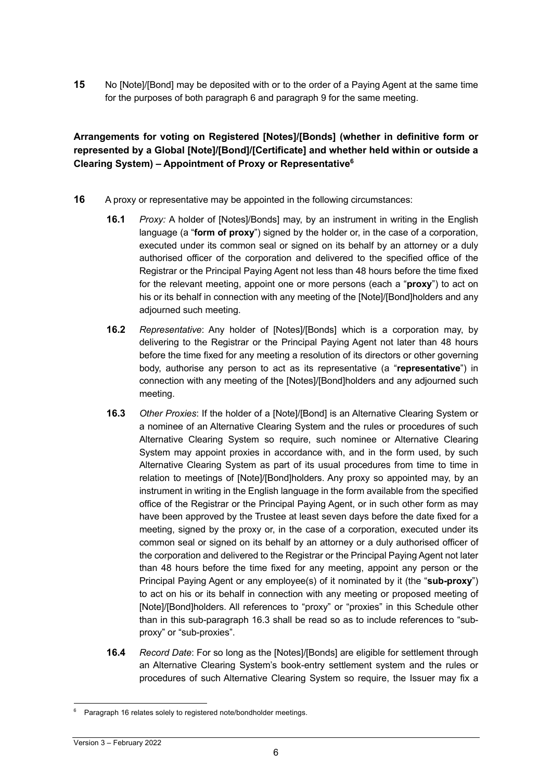**15** No [Note]/[Bond] may be deposited with or to the order of a Paying Agent at the same time for the purposes of both paragraph 6 and paragraph 9 for the same meeting.

# **Arrangements for voting on Registered [Notes]/[Bonds] (whether in definitive form or represented by a Global [Note]/[Bond]/[Certificate] and whether held within or outside a Clearing System) – Appointment of Proxy or Representative6**

- **16** A proxy or representative may be appointed in the following circumstances:
	- **16.1** *Proxy:* A holder of [Notes]/Bonds] may, by an instrument in writing in the English language (a "**form of proxy**") signed by the holder or, in the case of a corporation, executed under its common seal or signed on its behalf by an attorney or a duly authorised officer of the corporation and delivered to the specified office of the Registrar or the Principal Paying Agent not less than 48 hours before the time fixed for the relevant meeting, appoint one or more persons (each a "**proxy**") to act on his or its behalf in connection with any meeting of the [Note]/[Bond]holders and any adjourned such meeting.
	- **16.2** *Representative*: Any holder of [Notes]/[Bonds] which is a corporation may, by delivering to the Registrar or the Principal Paying Agent not later than 48 hours before the time fixed for any meeting a resolution of its directors or other governing body, authorise any person to act as its representative (a "**representative**") in connection with any meeting of the [Notes]/[Bond]holders and any adjourned such meeting.
	- **16.3** *Other Proxies*: If the holder of a [Note]/[Bond] is an Alternative Clearing System or a nominee of an Alternative Clearing System and the rules or procedures of such Alternative Clearing System so require, such nominee or Alternative Clearing System may appoint proxies in accordance with, and in the form used, by such Alternative Clearing System as part of its usual procedures from time to time in relation to meetings of [Note]/[Bond]holders. Any proxy so appointed may, by an instrument in writing in the English language in the form available from the specified office of the Registrar or the Principal Paying Agent, or in such other form as may have been approved by the Trustee at least seven days before the date fixed for a meeting, signed by the proxy or, in the case of a corporation, executed under its common seal or signed on its behalf by an attorney or a duly authorised officer of the corporation and delivered to the Registrar or the Principal Paying Agent not later than 48 hours before the time fixed for any meeting, appoint any person or the Principal Paying Agent or any employee(s) of it nominated by it (the "**sub-proxy**") to act on his or its behalf in connection with any meeting or proposed meeting of [Note]/[Bond]holders. All references to "proxy" or "proxies" in this Schedule other than in this sub-paragraph 16.3 shall be read so as to include references to "subproxy" or "sub-proxies".
	- **16.4** *Record Date*: For so long as the [Notes]/[Bonds] are eligible for settlement through an Alternative Clearing System's book-entry settlement system and the rules or procedures of such Alternative Clearing System so require, the Issuer may fix a

Paragraph 16 relates solely to registered note/bondholder meetings.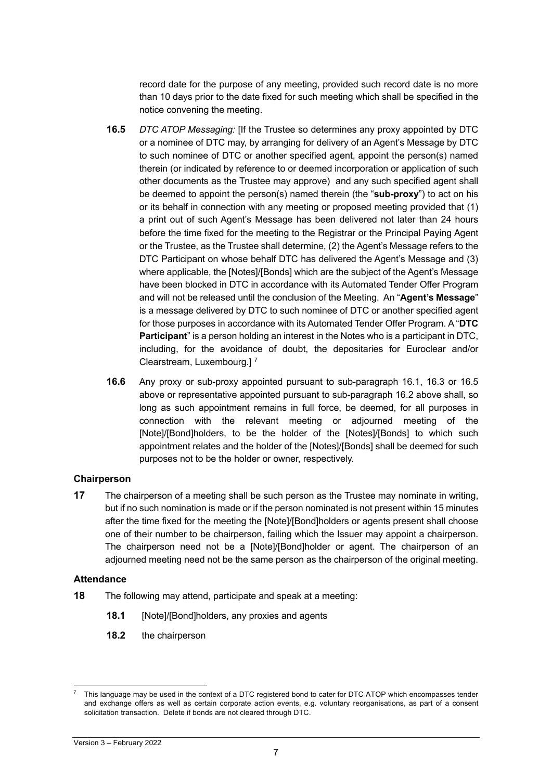record date for the purpose of any meeting, provided such record date is no more than 10 days prior to the date fixed for such meeting which shall be specified in the notice convening the meeting.

- **16.5** *DTC ATOP Messaging:* [If the Trustee so determines any proxy appointed by DTC or a nominee of DTC may, by arranging for delivery of an Agent's Message by DTC to such nominee of DTC or another specified agent, appoint the person(s) named therein (or indicated by reference to or deemed incorporation or application of such other documents as the Trustee may approve) and any such specified agent shall be deemed to appoint the person(s) named therein (the "**sub-proxy**") to act on his or its behalf in connection with any meeting or proposed meeting provided that (1) a print out of such Agent's Message has been delivered not later than 24 hours before the time fixed for the meeting to the Registrar or the Principal Paying Agent or the Trustee, as the Trustee shall determine, (2) the Agent's Message refers to the DTC Participant on whose behalf DTC has delivered the Agent's Message and (3) where applicable, the [Notes]/[Bonds] which are the subject of the Agent's Message have been blocked in DTC in accordance with its Automated Tender Offer Program and will not be released until the conclusion of the Meeting. An "**Agent's Message**" is a message delivered by DTC to such nominee of DTC or another specified agent for those purposes in accordance with its Automated Tender Offer Program. A "**DTC Participant**" is a person holding an interest in the Notes who is a participant in DTC, including, for the avoidance of doubt, the depositaries for Euroclear and/or Clearstream, Luxembourg.] 7
- **16.6** Any proxy or sub-proxy appointed pursuant to sub-paragraph 16.1, 16.3 or 16.5 above or representative appointed pursuant to sub-paragraph 16.2 above shall, so long as such appointment remains in full force, be deemed, for all purposes in connection with the relevant meeting or adjourned meeting of the [Note]/[Bond]holders, to be the holder of the [Notes]/[Bonds] to which such appointment relates and the holder of the [Notes]/[Bonds] shall be deemed for such purposes not to be the holder or owner, respectively.

## **Chairperson**

**17** The chairperson of a meeting shall be such person as the Trustee may nominate in writing, but if no such nomination is made or if the person nominated is not present within 15 minutes after the time fixed for the meeting the [Note]/[Bond]holders or agents present shall choose one of their number to be chairperson, failing which the Issuer may appoint a chairperson. The chairperson need not be a [Note]/[Bond]holder or agent. The chairperson of an adjourned meeting need not be the same person as the chairperson of the original meeting.

#### **Attendance**

- **18** The following may attend, participate and speak at a meeting:
	- **18.1** [Note]/[Bond]holders, any proxies and agents
	- **18.2** the chairperson

This language may be used in the context of a DTC registered bond to cater for DTC ATOP which encompasses tender and exchange offers as well as certain corporate action events, e.g. voluntary reorganisations, as part of a consent solicitation transaction. Delete if bonds are not cleared through DTC.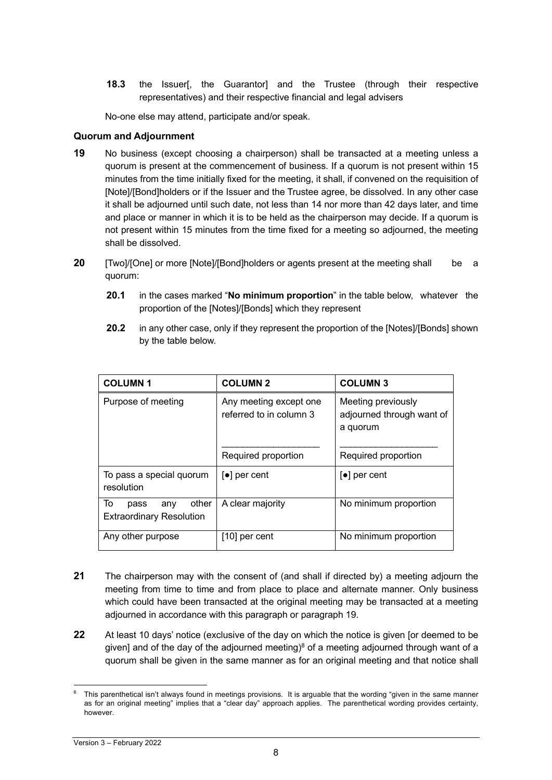**18.3** the Issuer[, the Guarantor] and the Trustee (through their respective representatives) and their respective financial and legal advisers

No-one else may attend, participate and/or speak.

## **Quorum and Adjournment**

- **19** No business (except choosing a chairperson) shall be transacted at a meeting unless a quorum is present at the commencement of business. If a quorum is not present within 15 minutes from the time initially fixed for the meeting, it shall, if convened on the requisition of [Note]/[Bond]holders or if the Issuer and the Trustee agree, be dissolved. In any other case it shall be adjourned until such date, not less than 14 nor more than 42 days later, and time and place or manner in which it is to be held as the chairperson may decide. If a quorum is not present within 15 minutes from the time fixed for a meeting so adjourned, the meeting shall be dissolved.
- **20** [Two]/[One] or more [Note]/[Bond]holders or agents present at the meeting shall be a quorum:
	- **20.1** in the cases marked "**No minimum proportion**" in the table below, whatever the proportion of the [Notes]/[Bonds] which they represent
	- **20.2** in any other case, only if they represent the proportion of the [Notes]/[Bonds] shown by the table below.

| <b>COLUMN1</b>                                                | <b>COLUMN 2</b>                                                          | <b>COLUMN3</b>                                                                     |
|---------------------------------------------------------------|--------------------------------------------------------------------------|------------------------------------------------------------------------------------|
| Purpose of meeting                                            | Any meeting except one<br>referred to in column 3<br>Required proportion | Meeting previously<br>adjourned through want of<br>a quorum<br>Required proportion |
| To pass a special quorum<br>resolution                        | $\lceil \bullet \rceil$ per cent                                         | $\lceil \bullet \rceil$ per cent                                                   |
| To<br>other<br>any<br>pass<br><b>Extraordinary Resolution</b> | A clear majority                                                         | No minimum proportion                                                              |
| Any other purpose                                             | $[10]$ per cent                                                          | No minimum proportion                                                              |

- **21** The chairperson may with the consent of (and shall if directed by) a meeting adjourn the meeting from time to time and from place to place and alternate manner. Only business which could have been transacted at the original meeting may be transacted at a meeting adjourned in accordance with this paragraph or paragraph 19.
- **22** At least 10 days' notice (exclusive of the day on which the notice is given [or deemed to be given] and of the day of the adjourned meeting)<sup>8</sup> of a meeting adjourned through want of a quorum shall be given in the same manner as for an original meeting and that notice shall

This parenthetical isn't always found in meetings provisions. It is arguable that the wording "given in the same manner as for an original meeting" implies that a "clear day" approach applies. The parenthetical wording provides certainty, however.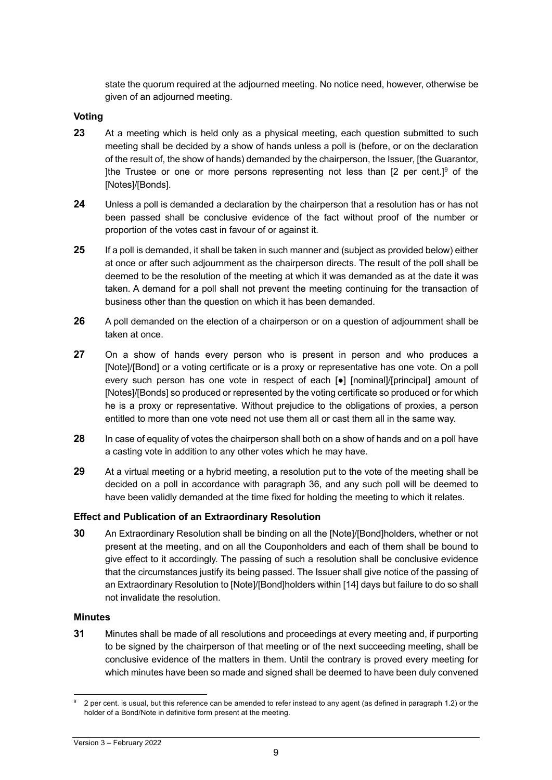state the quorum required at the adjourned meeting. No notice need, however, otherwise be given of an adjourned meeting.

## **Voting**

- **23** At a meeting which is held only as a physical meeting, each question submitted to such meeting shall be decided by a show of hands unless a poll is (before, or on the declaration of the result of, the show of hands) demanded by the chairperson, the Issuer, [the Guarantor, Ithe Trustee or one or more persons representing not less than  $[2 \text{ per cent.}]^9$  of the [Notes]/[Bonds].
- **24** Unless a poll is demanded a declaration by the chairperson that a resolution has or has not been passed shall be conclusive evidence of the fact without proof of the number or proportion of the votes cast in favour of or against it.
- **25** If a poll is demanded, it shall be taken in such manner and (subject as provided below) either at once or after such adjournment as the chairperson directs. The result of the poll shall be deemed to be the resolution of the meeting at which it was demanded as at the date it was taken. A demand for a poll shall not prevent the meeting continuing for the transaction of business other than the question on which it has been demanded.
- **26** A poll demanded on the election of a chairperson or on a question of adjournment shall be taken at once.
- **27** On a show of hands every person who is present in person and who produces a [Note]/[Bond] or a voting certificate or is a proxy or representative has one vote. On a poll every such person has one vote in respect of each [●] [nominal]/[principal] amount of [Notes]/[Bonds] so produced or represented by the voting certificate so produced or for which he is a proxy or representative. Without prejudice to the obligations of proxies, a person entitled to more than one vote need not use them all or cast them all in the same way.
- **28** In case of equality of votes the chairperson shall both on a show of hands and on a poll have a casting vote in addition to any other votes which he may have.
- **29** At a virtual meeting or a hybrid meeting, a resolution put to the vote of the meeting shall be decided on a poll in accordance with paragraph 36, and any such poll will be deemed to have been validly demanded at the time fixed for holding the meeting to which it relates.

## **Effect and Publication of an Extraordinary Resolution**

**30** An Extraordinary Resolution shall be binding on all the [Note]/[Bond]holders, whether or not present at the meeting, and on all the Couponholders and each of them shall be bound to give effect to it accordingly. The passing of such a resolution shall be conclusive evidence that the circumstances justify its being passed. The Issuer shall give notice of the passing of an Extraordinary Resolution to [Note]/[Bond]holders within [14] days but failure to do so shall not invalidate the resolution.

#### **Minutes**

**31** Minutes shall be made of all resolutions and proceedings at every meeting and, if purporting to be signed by the chairperson of that meeting or of the next succeeding meeting, shall be conclusive evidence of the matters in them. Until the contrary is proved every meeting for which minutes have been so made and signed shall be deemed to have been duly convened

<sup>9</sup> 2 per cent. is usual, but this reference can be amended to refer instead to any agent (as defined in paragraph 1.2) or the holder of a Bond/Note in definitive form present at the meeting.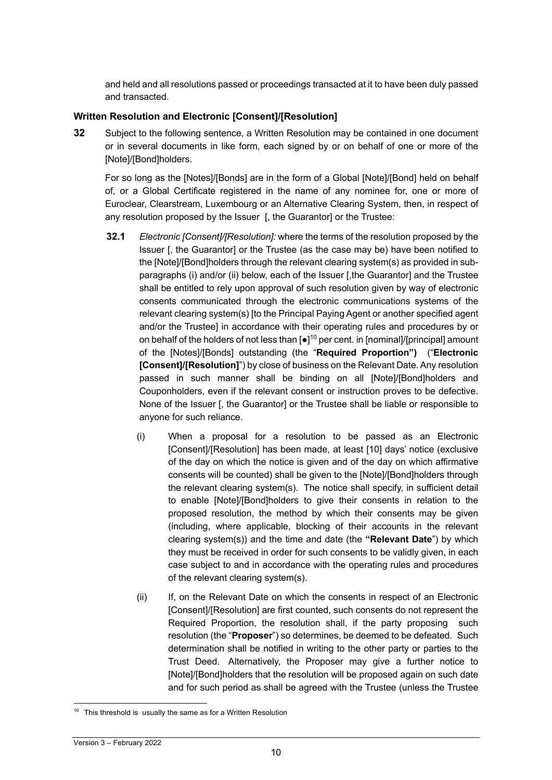and held and all resolutions passed or proceedings transacted at it to have been duly passed and transacted.

## **Written Resolution and Electronic [Consent]/[Resolution]**

**32** Subject to the following sentence, a Written Resolution may be contained in one document or in several documents in like form, each signed by or on behalf of one or more of the [Note]/[Bond]holders.

For so long as the [Notes]/[Bonds] are in the form of a Global [Note]/[Bond] held on behalf of, or a Global Certificate registered in the name of any nominee for, one or more of Euroclear, Clearstream, Luxembourg or an Alternative Clearing System, then, in respect of any resolution proposed by the Issuer [, the Guarantor] or the Trustee:

- **32.1** *Electronic [Consent]/[Resolution]:* where the terms of the resolution proposed by the Issuer [, the Guarantor] or the Trustee (as the case may be) have been notified to the [Note]/[Bond]holders through the relevant clearing system(s) as provided in subparagraphs (i) and/or (ii) below, each of the Issuer [,the Guarantor] and the Trustee shall be entitled to rely upon approval of such resolution given by way of electronic consents communicated through the electronic communications systems of the relevant clearing system(s) [to the Principal Paying Agent or another specified agent and/or the Trustee] in accordance with their operating rules and procedures by or on behalf of the holders of not less than  $[•]^{10}$  per cent. in [nominal]/[principal] amount of the [Notes]/[Bonds] outstanding (the "**Required Proportion")** ("**Electronic [Consent]/[Resolution]**") by close of business on the Relevant Date. Any resolution passed in such manner shall be binding on all [Note]/[Bond]holders and Couponholders, even if the relevant consent or instruction proves to be defective. None of the Issuer [, the Guarantor] or the Trustee shall be liable or responsible to anyone for such reliance.
	- (i) When a proposal for a resolution to be passed as an Electronic [Consent]/[Resolution] has been made, at least [10] days' notice (exclusive of the day on which the notice is given and of the day on which affirmative consents will be counted) shall be given to the [Note]/[Bond]holders through the relevant clearing system(s). The notice shall specify, in sufficient detail to enable [Note]/[Bond]holders to give their consents in relation to the proposed resolution, the method by which their consents may be given (including, where applicable, blocking of their accounts in the relevant clearing system(s)) and the time and date (the **"Relevant Date**") by which they must be received in order for such consents to be validly given, in each case subject to and in accordance with the operating rules and procedures of the relevant clearing system(s).
	- (ii) If, on the Relevant Date on which the consents in respect of an Electronic [Consent]/[Resolution] are first counted, such consents do not represent the Required Proportion, the resolution shall, if the party proposing such resolution (the "**Proposer**") so determines, be deemed to be defeated. Such determination shall be notified in writing to the other party or parties to the Trust Deed. Alternatively, the Proposer may give a further notice to [Note]/[Bond]holders that the resolution will be proposed again on such date and for such period as shall be agreed with the Trustee (unless the Trustee

<sup>&</sup>lt;sup>10</sup> This threshold is usually the same as for a Written Resolution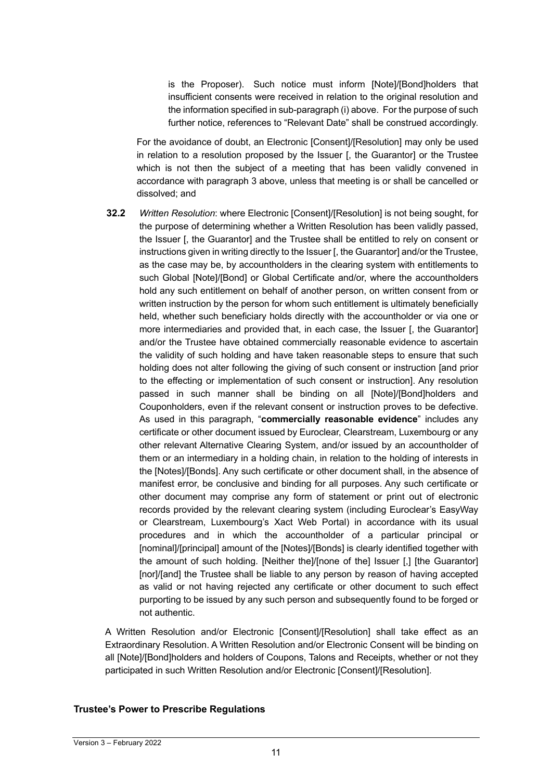is the Proposer). Such notice must inform [Note]/[Bond]holders that insufficient consents were received in relation to the original resolution and the information specified in sub-paragraph (i) above. For the purpose of such further notice, references to "Relevant Date" shall be construed accordingly.

For the avoidance of doubt, an Electronic [Consent]/[Resolution] may only be used in relation to a resolution proposed by the Issuer [, the Guarantor] or the Trustee which is not then the subject of a meeting that has been validly convened in accordance with paragraph 3 above, unless that meeting is or shall be cancelled or dissolved; and

**32.2** *Written Resolution*: where Electronic [Consent]/[Resolution] is not being sought, for the purpose of determining whether a Written Resolution has been validly passed, the Issuer [, the Guarantor] and the Trustee shall be entitled to rely on consent or instructions given in writing directly to the Issuer [, the Guarantor] and/or the Trustee, as the case may be, by accountholders in the clearing system with entitlements to such Global [Note]/[Bond] or Global Certificate and/or, where the accountholders hold any such entitlement on behalf of another person, on written consent from or written instruction by the person for whom such entitlement is ultimately beneficially held, whether such beneficiary holds directly with the accountholder or via one or more intermediaries and provided that, in each case, the Issuer [, the Guarantor] and/or the Trustee have obtained commercially reasonable evidence to ascertain the validity of such holding and have taken reasonable steps to ensure that such holding does not alter following the giving of such consent or instruction [and prior to the effecting or implementation of such consent or instruction]. Any resolution passed in such manner shall be binding on all [Note]/[Bond]holders and Couponholders, even if the relevant consent or instruction proves to be defective. As used in this paragraph, "**commercially reasonable evidence**" includes any certificate or other document issued by Euroclear, Clearstream, Luxembourg or any other relevant Alternative Clearing System, and/or issued by an accountholder of them or an intermediary in a holding chain, in relation to the holding of interests in the [Notes]/[Bonds]. Any such certificate or other document shall, in the absence of manifest error, be conclusive and binding for all purposes. Any such certificate or other document may comprise any form of statement or print out of electronic records provided by the relevant clearing system (including Euroclear's EasyWay or Clearstream, Luxembourg's Xact Web Portal) in accordance with its usual procedures and in which the accountholder of a particular principal or [nominal]/[principal] amount of the [Notes]/[Bonds] is clearly identified together with the amount of such holding. [Neither the]/[none of the] Issuer [,] [the Guarantor] [nor]/[and] the Trustee shall be liable to any person by reason of having accepted as valid or not having rejected any certificate or other document to such effect purporting to be issued by any such person and subsequently found to be forged or not authentic.

A Written Resolution and/or Electronic [Consent]/[Resolution] shall take effect as an Extraordinary Resolution. A Written Resolution and/or Electronic Consent will be binding on all [Note]/[Bond]holders and holders of Coupons, Talons and Receipts, whether or not they participated in such Written Resolution and/or Electronic [Consent]/[Resolution].

#### **Trustee's Power to Prescribe Regulations**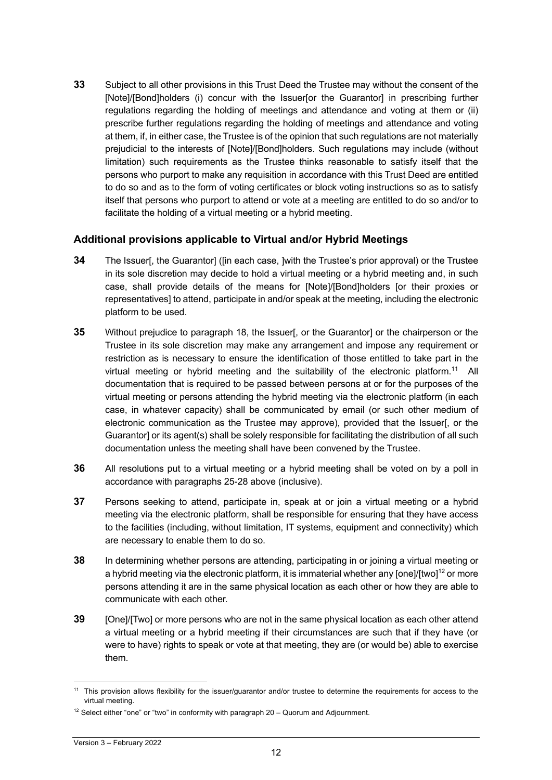**33** Subject to all other provisions in this Trust Deed the Trustee may without the consent of the [Note]/[Bond]holders (i) concur with the Issuer[or the Guarantor] in prescribing further regulations regarding the holding of meetings and attendance and voting at them or (ii) prescribe further regulations regarding the holding of meetings and attendance and voting at them, if, in either case, the Trustee is of the opinion that such regulations are not materially prejudicial to the interests of [Note]/[Bond]holders. Such regulations may include (without limitation) such requirements as the Trustee thinks reasonable to satisfy itself that the persons who purport to make any requisition in accordance with this Trust Deed are entitled to do so and as to the form of voting certificates or block voting instructions so as to satisfy itself that persons who purport to attend or vote at a meeting are entitled to do so and/or to facilitate the holding of a virtual meeting or a hybrid meeting.

## **Additional provisions applicable to Virtual and/or Hybrid Meetings**

- **34** The Issuer[, the Guarantor] ([in each case, ]with the Trustee's prior approval) or the Trustee in its sole discretion may decide to hold a virtual meeting or a hybrid meeting and, in such case, shall provide details of the means for [Note]/[Bond]holders [or their proxies or representatives] to attend, participate in and/or speak at the meeting, including the electronic platform to be used.
- **35** Without prejudice to paragraph 18, the Issuer[, or the Guarantor] or the chairperson or the Trustee in its sole discretion may make any arrangement and impose any requirement or restriction as is necessary to ensure the identification of those entitled to take part in the virtual meeting or hybrid meeting and the suitability of the electronic platform.11 All documentation that is required to be passed between persons at or for the purposes of the virtual meeting or persons attending the hybrid meeting via the electronic platform (in each case, in whatever capacity) shall be communicated by email (or such other medium of electronic communication as the Trustee may approve), provided that the Issuer[, or the Guarantor] or its agent(s) shall be solely responsible for facilitating the distribution of all such documentation unless the meeting shall have been convened by the Trustee.
- **36** All resolutions put to a virtual meeting or a hybrid meeting shall be voted on by a poll in accordance with paragraphs 25-28 above (inclusive).
- **37** Persons seeking to attend, participate in, speak at or join a virtual meeting or a hybrid meeting via the electronic platform, shall be responsible for ensuring that they have access to the facilities (including, without limitation, IT systems, equipment and connectivity) which are necessary to enable them to do so.
- **38** In determining whether persons are attending, participating in or joining a virtual meeting or a hybrid meeting via the electronic platform, it is immaterial whether any [one]/[two]<sup>12</sup> or more persons attending it are in the same physical location as each other or how they are able to communicate with each other.
- **39** [One]/[Two] or more persons who are not in the same physical location as each other attend a virtual meeting or a hybrid meeting if their circumstances are such that if they have (or were to have) rights to speak or vote at that meeting, they are (or would be) able to exercise them.

<sup>&</sup>lt;sup>11</sup> This provision allows flexibility for the issuer/guarantor and/or trustee to determine the requirements for access to the virtual meeting.

 $12$  Select either "one" or "two" in conformity with paragraph 20 – Quorum and Adjournment.